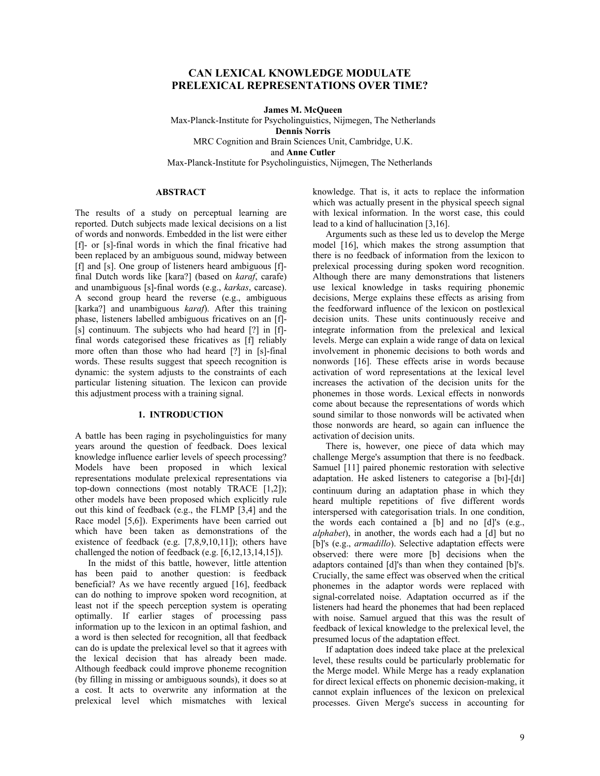# **CAN LEXICAL KNOWLEDGE MODULATE PRELEXICAL REPRESENTATIONS OVER TIME?**

**James M. McQueen**

Max-Planck-Institute for Psycholinguistics, Nijmegen, The Netherlands

**Dennis Norris** 

MRC Cognition and Brain Sciences Unit, Cambridge, U.K.

and **Anne Cutler**

Max-Planck-Institute for Psycholinguistics, Nijmegen, The Netherlands

# **ABSTRACT**

The results of a study on perceptual learning are reported. Dutch subjects made lexical decisions on a list of words and nonwords. Embedded in the list were either [f]- or [s]-final words in which the final fricative had been replaced by an ambiguous sound, midway between [f] and [s]. One group of listeners heard ambiguous [f] final Dutch words like [kara?] (based on *karaf*, carafe) and unambiguous [s]-final words (e.g., *karkas*, carcase). A second group heard the reverse (e.g., ambiguous [karka?] and unambiguous *karaf*). After this training phase, listeners labelled ambiguous fricatives on an [f]- [s] continuum. The subjects who had heard [?] in [f] final words categorised these fricatives as [f] reliably more often than those who had heard [?] in [s]-final words. These results suggest that speech recognition is dynamic: the system adjusts to the constraints of each particular listening situation. The lexicon can provide this adjustment process with a training signal.

# **1. INTRODUCTION**

A battle has been raging in psycholinguistics for many years around the question of feedback. Does lexical knowledge influence earlier levels of speech processing? Models have been proposed in which lexical representations modulate prelexical representations via top-down connections (most notably TRACE [1,2]); other models have been proposed which explicitly rule out this kind of feedback (e.g., the FLMP [3,4] and the Race model [5,6]). Experiments have been carried out which have been taken as demonstrations of the existence of feedback (e.g. [7,8,9,10,11]); others have challenged the notion of feedback (e.g. [6,12,13,14,15]).

In the midst of this battle, however, little attention has been paid to another question: is feedback beneficial? As we have recently argued [16], feedback can do nothing to improve spoken word recognition, at least not if the speech perception system is operating optimally. If earlier stages of processing pass information up to the lexicon in an optimal fashion, and a word is then selected for recognition, all that feedback can do is update the prelexical level so that it agrees with the lexical decision that has already been made. Although feedback could improve phoneme recognition (by filling in missing or ambiguous sounds), it does so at a cost. It acts to overwrite any information at the prelexical level which mismatches with lexical

knowledge. That is, it acts to replace the information which was actually present in the physical speech signal with lexical information. In the worst case, this could lead to a kind of hallucination [3,16].

Arguments such as these led us to develop the Merge model [16], which makes the strong assumption that there is no feedback of information from the lexicon to prelexical processing during spoken word recognition. Although there are many demonstrations that listeners use lexical knowledge in tasks requiring phonemic decisions, Merge explains these effects as arising from the feedforward influence of the lexicon on postlexical decision units. These units continuously receive and integrate information from the prelexical and lexical levels. Merge can explain a wide range of data on lexical involvement in phonemic decisions to both words and nonwords [16]. These effects arise in words because activation of word representations at the lexical level increases the activation of the decision units for the phonemes in those words. Lexical effects in nonwords come about because the representations of words which sound similar to those nonwords will be activated when those nonwords are heard, so again can influence the activation of decision units.

There is, however, one piece of data which may challenge Merge's assumption that there is no feedback. Samuel [11] paired phonemic restoration with selective adaptation. He asked listeners to categorise a [bI]-[dI] continuum during an adaptation phase in which they heard multiple repetitions of five different words interspersed with categorisation trials. In one condition, the words each contained a [b] and no [d]'s (e.g., *alphabet*), in another, the words each had a [d] but no [b]'s (e.g., *armadillo*). Selective adaptation effects were observed: there were more [b] decisions when the adaptors contained [d]'s than when they contained [b]'s. Crucially, the same effect was observed when the critical phonemes in the adaptor words were replaced with signal-correlated noise. Adaptation occurred as if the listeners had heard the phonemes that had been replaced with noise. Samuel argued that this was the result of feedback of lexical knowledge to the prelexical level, the presumed locus of the adaptation effect.

If adaptation does indeed take place at the prelexical level, these results could be particularly problematic for the Merge model. While Merge has a ready explanation for direct lexical effects on phonemic decision-making, it cannot explain influences of the lexicon on prelexical processes. Given Merge's success in accounting for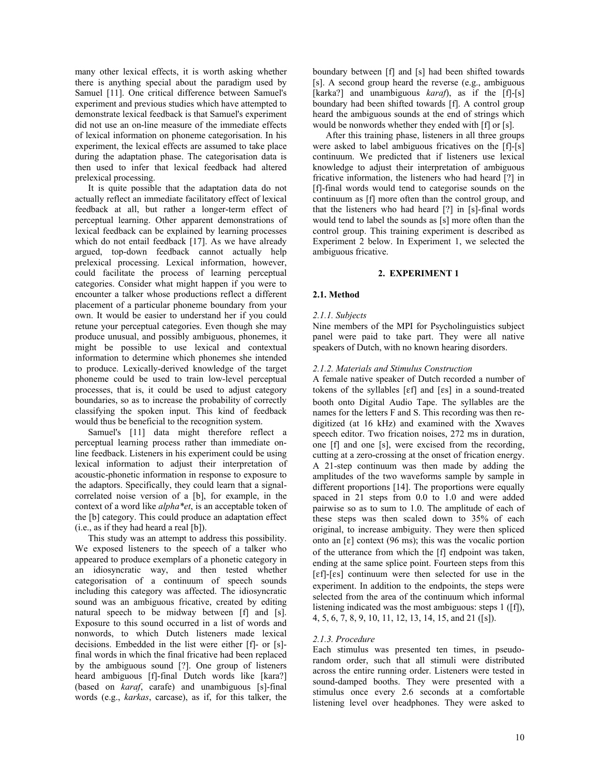many other lexical effects, it is worth asking whether there is anything special about the paradigm used by Samuel [11]. One critical difference between Samuel's experiment and previous studies which have attempted to demonstrate lexical feedback is that Samuel's experiment did not use an on-line measure of the immediate effects of lexical information on phoneme categorisation. In his experiment, the lexical effects are assumed to take place during the adaptation phase. The categorisation data is then used to infer that lexical feedback had altered prelexical processing.

It is quite possible that the adaptation data do not actually reflect an immediate facilitatory effect of lexical feedback at all, but rather a longer-term effect of perceptual learning. Other apparent demonstrations of lexical feedback can be explained by learning processes which do not entail feedback [17]. As we have already argued, top-down feedback cannot actually help prelexical processing. Lexical information, however, could facilitate the process of learning perceptual categories. Consider what might happen if you were to encounter a talker whose productions reflect a different placement of a particular phoneme boundary from your own. It would be easier to understand her if you could retune your perceptual categories. Even though she may produce unusual, and possibly ambiguous, phonemes, it might be possible to use lexical and contextual information to determine which phonemes she intended to produce. Lexically-derived knowledge of the target phoneme could be used to train low-level perceptual processes, that is, it could be used to adjust category boundaries, so as to increase the probability of correctly classifying the spoken input. This kind of feedback would thus be beneficial to the recognition system.

Samuel's [11] data might therefore reflect a perceptual learning process rather than immediate online feedback. Listeners in his experiment could be using lexical information to adjust their interpretation of acoustic-phonetic information in response to exposure to the adaptors. Specifically, they could learn that a signalcorrelated noise version of a [b], for example, in the context of a word like *alpha\*et*, is an acceptable token of the [b] category. This could produce an adaptation effect (i.e., as if they had heard a real [b]).

This study was an attempt to address this possibility. We exposed listeners to the speech of a talker who appeared to produce exemplars of a phonetic category in an idiosyncratic way, and then tested whether categorisation of a continuum of speech sounds including this category was affected. The idiosyncratic sound was an ambiguous fricative, created by editing natural speech to be midway between [f] and [s]. Exposure to this sound occurred in a list of words and nonwords, to which Dutch listeners made lexical decisions. Embedded in the list were either [f]- or [s] final words in which the final fricative had been replaced by the ambiguous sound [?]. One group of listeners heard ambiguous [f]-final Dutch words like [kara?] (based on *karaf*, carafe) and unambiguous [s]-final words (e.g., *karkas*, carcase), as if, for this talker, the boundary between [f] and [s] had been shifted towards [s]. A second group heard the reverse (e.g., ambiguous [karka?] and unambiguous *karaf*), as if the [f]-[s] boundary had been shifted towards [f]. A control group heard the ambiguous sounds at the end of strings which would be nonwords whether they ended with [f] or [s].

After this training phase, listeners in all three groups were asked to label ambiguous fricatives on the [f]-[s] continuum. We predicted that if listeners use lexical knowledge to adjust their interpretation of ambiguous fricative information, the listeners who had heard [?] in [f]-final words would tend to categorise sounds on the continuum as [f] more often than the control group, and that the listeners who had heard [?] in [s]-final words would tend to label the sounds as [s] more often than the control group. This training experiment is described as Experiment 2 below. In Experiment 1, we selected the ambiguous fricative.

# **2. EXPERIMENT 1**

### **2.1. Method**

### *2.1.1. Subjects*

Nine members of the MPI for Psycholinguistics subject panel were paid to take part. They were all native speakers of Dutch, with no known hearing disorders.

## *2.1.2. Materials and Stimulus Construction*

A female native speaker of Dutch recorded a number of tokens of the syllables  $[\epsilon f]$  and  $[\epsilon s]$  in a sound-treated booth onto Digital Audio Tape. The syllables are the names for the letters F and S. This recording was then redigitized (at 16 kHz) and examined with the Xwaves speech editor. Two frication noises, 272 ms in duration, one [f] and one [s], were excised from the recording, cutting at a zero-crossing at the onset of frication energy. A 21-step continuum was then made by adding the amplitudes of the two waveforms sample by sample in different proportions [14]. The proportions were equally spaced in 21 steps from 0.0 to 1.0 and were added pairwise so as to sum to 1.0. The amplitude of each of these steps was then scaled down to 35% of each original, to increase ambiguity. They were then spliced onto an  $\lceil \varepsilon \rceil$  context (96 ms); this was the vocalic portion of the utterance from which the [f] endpoint was taken, ending at the same splice point. Fourteen steps from this [Ef]-[Es] continuum were then selected for use in the experiment. In addition to the endpoints, the steps were selected from the area of the continuum which informal listening indicated was the most ambiguous: steps 1 ([f]), 4, 5, 6, 7, 8, 9, 10, 11, 12, 13, 14, 15, and 21 ([s]).

# *2.1.3. Procedure*

Each stimulus was presented ten times, in pseudorandom order, such that all stimuli were distributed across the entire running order. Listeners were tested in sound-damped booths. They were presented with a stimulus once every 2.6 seconds at a comfortable listening level over headphones. They were asked to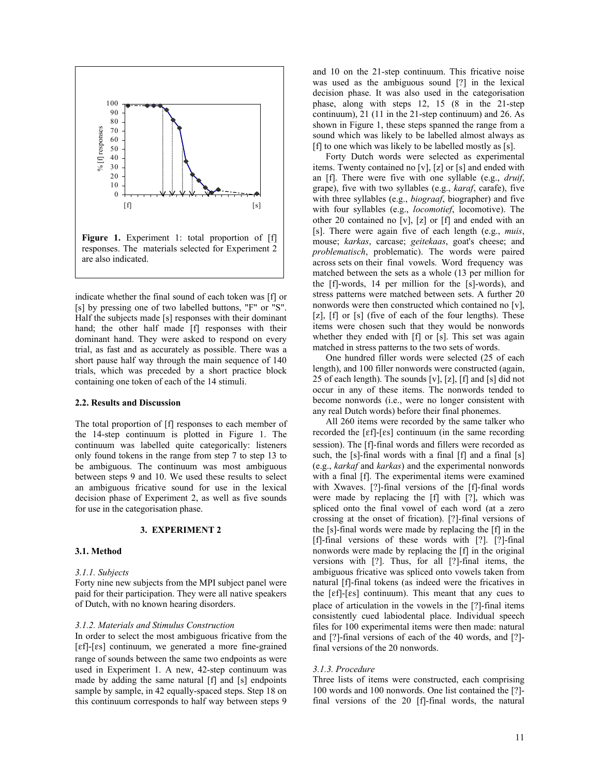

indicate whether the final sound of each token was [f] or [s] by pressing one of two labelled buttons, "F" or "S". Half the subjects made [s] responses with their dominant hand; the other half made [f] responses with their dominant hand. They were asked to respond on every trial, as fast and as accurately as possible. There was a short pause half way through the main sequence of 140 trials, which was preceded by a short practice block containing one token of each of the 14 stimuli.

### **2.2. Results and Discussion**

The total proportion of [f] responses to each member of the 14-step continuum is plotted in Figure 1. The continuum was labelled quite categorically: listeners only found tokens in the range from step 7 to step 13 to be ambiguous. The continuum was most ambiguous between steps 9 and 10. We used these results to select an ambiguous fricative sound for use in the lexical decision phase of Experiment 2, as well as five sounds for use in the categorisation phase.

#### **3. EXPERIMENT 2**

## **3.1. Method**

#### *3.1.1. Subjects*

Forty nine new subjects from the MPI subject panel were paid for their participation. They were all native speakers of Dutch, with no known hearing disorders.

#### *3.1.2. Materials and Stimulus Construction*

In order to select the most ambiguous fricative from the [Ef]-[Es] continuum, we generated a more fine-grained range of sounds between the same two endpoints as were used in Experiment 1. A new, 42-step continuum was made by adding the same natural [f] and [s] endpoints sample by sample, in 42 equally-spaced steps. Step 18 on this continuum corresponds to half way between steps 9 and 10 on the 21-step continuum. This fricative noise was used as the ambiguous sound [?] in the lexical decision phase. It was also used in the categorisation phase, along with steps 12, 15 (8 in the 21-step continuum), 21 (11 in the 21-step continuum) and 26. As shown in Figure 1, these steps spanned the range from a sound which was likely to be labelled almost always as [f] to one which was likely to be labelled mostly as [s].

Forty Dutch words were selected as experimental items. Twenty contained no [v], [z] or [s] and ended with an [f]. There were five with one syllable (e.g., *druif*, grape), five with two syllables (e.g., *karaf*, carafe), five with three syllables (e.g., *biograaf*, biographer) and five with four syllables (e.g., *locomotief*, locomotive). The other 20 contained no [v], [z] or [f] and ended with an [s]. There were again five of each length (e.g., *muis*, mouse; *karkas*, carcase; *geitekaas*, goat's cheese; and *problematisch*, problematic). The words were paired across sets on their final vowels. Word frequency was matched between the sets as a whole (13 per million for the [f]-words, 14 per million for the [s]-words), and stress patterns were matched between sets. A further 20 nonwords were then constructed which contained no [v], [z], [f] or [s] (five of each of the four lengths). These items were chosen such that they would be nonwords whether they ended with [f] or [s]. This set was again matched in stress patterns to the two sets of words.

One hundred filler words were selected (25 of each length), and 100 filler nonwords were constructed (again, 25 of each length). The sounds  $[v]$ ,  $[z]$ ,  $[f]$  and  $[s]$  did not occur in any of these items. The nonwords tended to become nonwords (i.e., were no longer consistent with any real Dutch words) before their final phonemes.

All 260 items were recorded by the same talker who recorded the [Ef]-[Es] continuum (in the same recording session). The [f]-final words and fillers were recorded as such, the [s]-final words with a final [f] and a final [s] (e.g., *karkaf* and *karkas*) and the experimental nonwords with a final [f]. The experimental items were examined with Xwaves. [?]-final versions of the [f]-final words were made by replacing the [f] with [?], which was spliced onto the final vowel of each word (at a zero crossing at the onset of frication). [?]-final versions of the [s]-final words were made by replacing the [f] in the [f]-final versions of these words with [?]. [?]-final nonwords were made by replacing the [f] in the original versions with [?]. Thus, for all [?]-final items, the ambiguous fricative was spliced onto vowels taken from natural [f]-final tokens (as indeed were the fricatives in the [Ef]-[Es] continuum). This meant that any cues to place of articulation in the vowels in the [?]-final items consistently cued labiodental place. Individual speech files for 100 experimental items were then made: natural and [?]-final versions of each of the 40 words, and [?] final versions of the 20 nonwords.

### *3.1.3. Procedure*

Three lists of items were constructed, each comprising 100 words and 100 nonwords. One list contained the [?] final versions of the 20 [f]-final words, the natural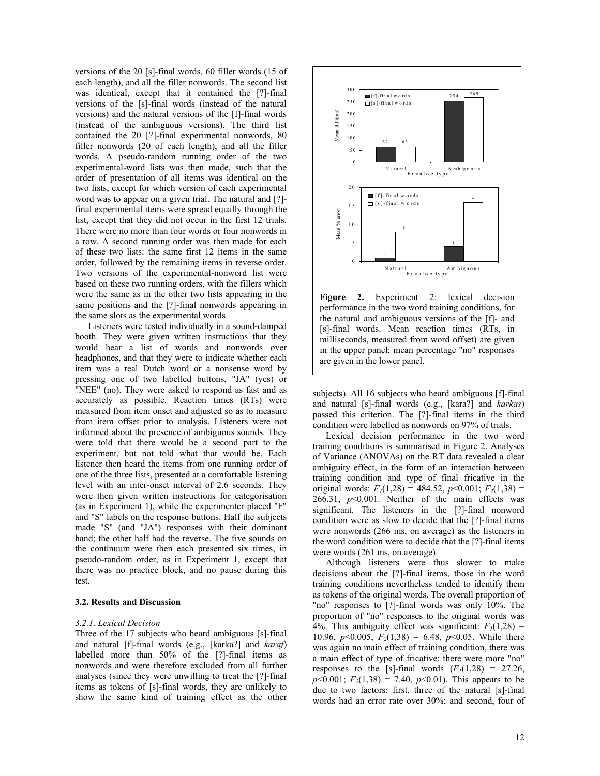versions of the 20 [s]-final words, 60 filler words (15 of each length), and all the filler nonwords. The second list was identical, except that it contained the [?]-final versions of the [s]-final words (instead of the natural versions) and the natural versions of the [f]-final words (instead of the ambiguous versions). The third list contained the 20 [?]-final experimental nonwords, 80 filler nonwords (20 of each length), and all the filler words. A pseudo-random running order of the two experimental-word lists was then made, such that the order of presentation of all items was identical on the two lists, except for which version of each experimental word was to appear on a given trial. The natural and [?] final experimental items were spread equally through the list, except that they did not occur in the first 12 trials. There were no more than four words or four nonwords in a row. A second running order was then made for each of these two lists: the same first 12 items in the same order, followed by the remaining items in reverse order. Two versions of the experimental-nonword list were based on these two running orders, with the fillers which were the same as in the other two lists appearing in the same positions and the [?]-final nonwords appearing in the same slots as the experimental words.

Listeners were tested individually in a sound-damped booth. They were given written instructions that they would hear a list of words and nonwords over headphones, and that they were to indicate whether each item was a real Dutch word or a nonsense word by pressing one of two labelled buttons, "JA" (yes) or "NEE" (no). They were asked to respond as fast and as accurately as possible. Reaction times (RTs) were measured from item onset and adjusted so as to measure from item offset prior to analysis. Listeners were not informed about the presence of ambiguous sounds. They were told that there would be a second part to the experiment, but not told what that would be. Each listener then heard the items from one running order of one of the three lists, presented at a comfortable listening level with an inter-onset interval of 2.6 seconds. They were then given written instructions for categorisation (as in Experiment 1), while the experimenter placed "F" and "S" labels on the response buttons. Half the subjects made "S" (and "JA") responses with their dominant hand; the other half had the reverse. The five sounds on the continuum were then each presented six times, in pseudo-random order, as in Experiment 1, except that there was no practice block, and no pause during this test.

#### **3.2. Results and Discussion**

#### *3.2.1. Lexical Decision*

Three of the 17 subjects who heard ambiguous [s]-final and natural [f]-final words (e.g., [karka?] and *karaf*) labelled more than 50% of the [?]-final items as nonwords and were therefore excluded from all further analyses (since they were unwilling to treat the [?]-final items as tokens of [s]-final words, they are unlikely to show the same kind of training effect as the other



Figure 2. Experiment 2: lexical decision performance in the two word training conditions, for the natural and ambiguous versions of the [f]- and [s]-final words. Mean reaction times (RTs, in milliseconds, measured from word offset) are given in the upper panel; mean percentage "no" responses are given in the lower panel.

subjects). All 16 subjects who heard ambiguous [f]-final and natural [s]-final words (e.g., [kara?] and *karkas*) passed this criterion. The [?]-final items in the third condition were labelled as nonwords on 97% of trials.

Lexical decision performance in the two word training conditions is summarised in Figure 2. Analyses of Variance (ANOVAs) on the RT data revealed a clear ambiguity effect, in the form of an interaction between training condition and type of final fricative in the original words:  $F_1(1,28) = 484.52$ ,  $p<0.001$ ;  $F_2(1,38) =$ 266.31, *p*<0.001. Neither of the main effects was significant. The listeners in the [?]-final nonword condition were as slow to decide that the [?]-final items were nonwords (266 ms, on average) as the listeners in the word condition were to decide that the [?]-final items were words (261 ms, on average).

Although listeners were thus slower to make decisions about the [?]-final items, those in the word training conditions nevertheless tended to identify them as tokens of the original words. The overall proportion of "no" responses to [?]-final words was only 10%. The proportion of "no" responses to the original words was 4%. This ambiguity effect was significant:  $F_1(1,28) =$ 10.96,  $p<0.005$ ;  $F_2(1,38) = 6.48$ ,  $p<0.05$ . While there was again no main effect of training condition, there was a main effect of type of fricative: there were more "no" responses to the [s]-final words  $(F_1(1,28) = 27.26$ ,  $p<0.001$ ;  $F_2(1,38) = 7.40$ ,  $p<0.01$ ). This appears to be due to two factors: first, three of the natural [s]-final words had an error rate over 30%; and second, four of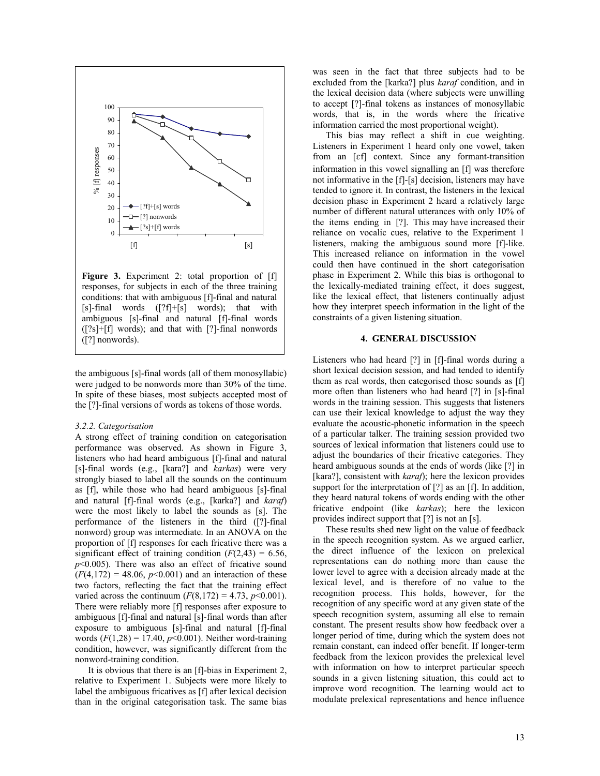

Figure 3. Experiment 2: total proportion of [f] responses, for subjects in each of the three training conditions: that with ambiguous [f]-final and natural  $[s]$ -final words  $([?f] + [s]$  words); that with ambiguous [s]-final and natural [f]-final words ([?s]+[f] words); and that with [?]-final nonwords ([?] nonwords).

the ambiguous [s]-final words (all of them monosyllabic) were judged to be nonwords more than 30% of the time. In spite of these biases, most subjects accepted most of the [?]-final versions of words as tokens of those words.

#### *3.2.2. Categorisation*

A strong effect of training condition on categorisation performance was observed. As shown in Figure 3, listeners who had heard ambiguous [f]-final and natural [s]-final words (e.g., [kara?] and *karkas*) were very strongly biased to label all the sounds on the continuum as [f], while those who had heard ambiguous [s]-final and natural [f]-final words (e.g., [karka?] and *karaf*) were the most likely to label the sounds as [s]. The performance of the listeners in the third ([?]-final nonword) group was intermediate. In an ANOVA on the proportion of [f] responses for each fricative there was a significant effect of training condition  $(F(2,43) = 6.56,$ *p*<0.005). There was also an effect of fricative sound  $(F(4,172) = 48.06, p<0.001)$  and an interaction of these two factors, reflecting the fact that the training effect varied across the continuum  $(F(8,172) = 4.73, p<0.001)$ . There were reliably more [f] responses after exposure to ambiguous [f]-final and natural [s]-final words than after exposure to ambiguous [s]-final and natural [f]-final words  $(F(1,28) = 17.40, p<0.001)$ . Neither word-training condition, however, was significantly different from the nonword-training condition.

It is obvious that there is an [f]-bias in Experiment 2, relative to Experiment 1. Subjects were more likely to label the ambiguous fricatives as [f] after lexical decision than in the original categorisation task. The same bias was seen in the fact that three subjects had to be excluded from the [karka?] plus *karaf* condition, and in the lexical decision data (where subjects were unwilling to accept [?]-final tokens as instances of monosyllabic words, that is, in the words where the fricative information carried the most proportional weight).

This bias may reflect a shift in cue weighting. Listeners in Experiment 1 heard only one vowel, taken from an [Ef] context. Since any formant-transition information in this vowel signalling an [f] was therefore not informative in the [f]-[s] decision, listeners may have tended to ignore it. In contrast, the listeners in the lexical decision phase in Experiment 2 heard a relatively large number of different natural utterances with only 10% of the items ending in [?]. This may have increased their reliance on vocalic cues, relative to the Experiment 1 listeners, making the ambiguous sound more [f]-like. This increased reliance on information in the vowel could then have continued in the short categorisation phase in Experiment 2. While this bias is orthogonal to the lexically-mediated training effect, it does suggest, like the lexical effect, that listeners continually adjust how they interpret speech information in the light of the constraints of a given listening situation.

### **4. GENERAL DISCUSSION**

Listeners who had heard [?] in [f]-final words during a short lexical decision session, and had tended to identify them as real words, then categorised those sounds as [f] more often than listeners who had heard [?] in [s]-final words in the training session. This suggests that listeners can use their lexical knowledge to adjust the way they evaluate the acoustic-phonetic information in the speech of a particular talker. The training session provided two sources of lexical information that listeners could use to adjust the boundaries of their fricative categories. They heard ambiguous sounds at the ends of words (like [?] in [kara?], consistent with *karaf*); here the lexicon provides support for the interpretation of [?] as an [f]. In addition, they heard natural tokens of words ending with the other fricative endpoint (like *karkas*); here the lexicon provides indirect support that [?] is not an [s].

These results shed new light on the value of feedback in the speech recognition system. As we argued earlier, the direct influence of the lexicon on prelexical representations can do nothing more than cause the lower level to agree with a decision already made at the lexical level, and is therefore of no value to the recognition process. This holds, however, for the recognition of any specific word at any given state of the speech recognition system, assuming all else to remain constant. The present results show how feedback over a longer period of time, during which the system does not remain constant, can indeed offer benefit. If longer-term feedback from the lexicon provides the prelexical level with information on how to interpret particular speech sounds in a given listening situation, this could act to improve word recognition. The learning would act to modulate prelexical representations and hence influence